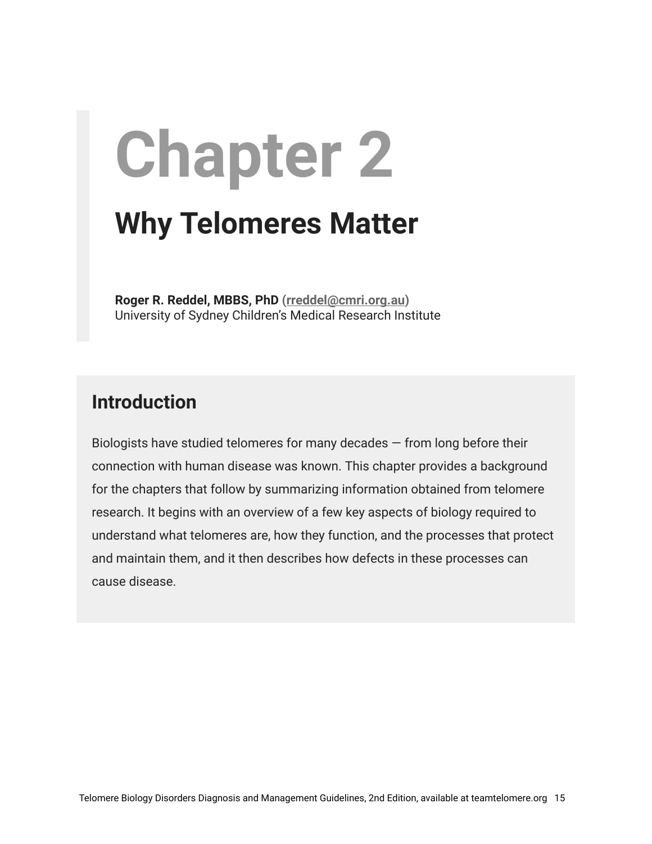# **Chapter 2 Why Telomeres Matter**

**Roger R. Reddel, MBBS, PhD [\(rreddel@cmri.org.au](mailto:rreddel@cmri.org.au))** University of Sydney Children's Medical Research Institute

### **Introduction**

Biologists have studied telomeres for many decades  $-$  from long before their connection with human disease was known. This chapter provides a background for the chapters that follow by summarizing information obtained from telomere research. It begins with an overview of a few key aspects of biology required to understand what telomeres are, how they function, and the processes that protect and maintain them, and it then describes how defects in these processes can cause disease.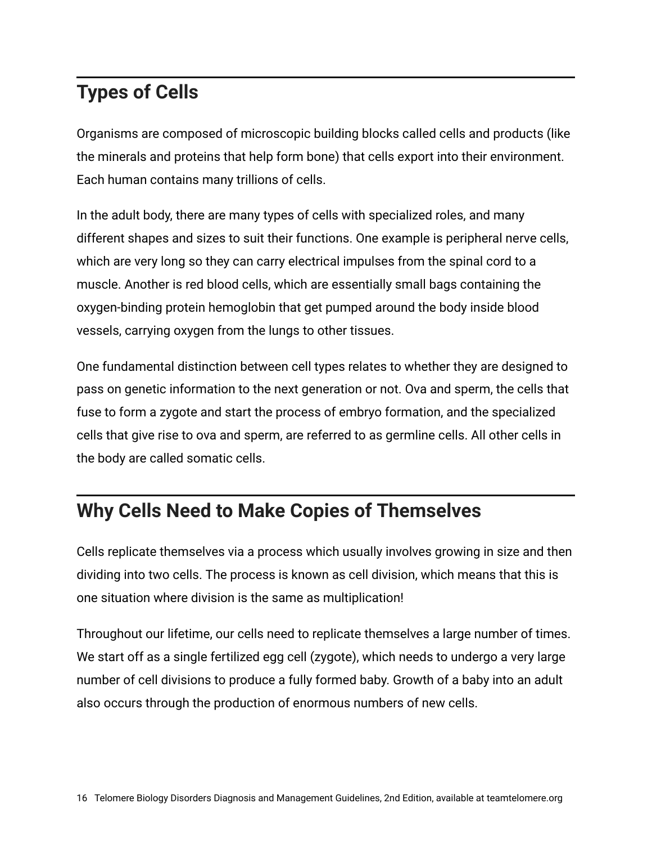## **Types of Cells**

Organisms are composed of microscopic building blocks called cells and products (like the minerals and proteins that help form bone) that cells export into their environment. Each human contains many trillions of cells.

In the adult body, there are many types of cells with specialized roles, and many different shapes and sizes to suit their functions. One example is peripheral nerve cells, which are very long so they can carry electrical impulses from the spinal cord to a muscle. Another is red blood cells, which are essentially small bags containing the oxygen-binding protein hemoglobin that get pumped around the body inside blood vessels, carrying oxygen from the lungs to other tissues.

One fundamental distinction between cell types relates to whether they are designed to pass on genetic information to the next generation or not. Ova and sperm, the cells that fuse to form a zygote and start the process of embryo formation, and the specialized cells that give rise to ova and sperm, are referred to as germline cells. All other cells in the body are called somatic cells.

## **Why Cells Need to Make Copies of Themselves**

Cells replicate themselves via a process which usually involves growing in size and then dividing into two cells. The process is known as cell division, which means that this is one situation where division is the same as multiplication!

Throughout our lifetime, our cells need to replicate themselves a large number of times. We start off as a single fertilized egg cell (zygote), which needs to undergo a very large number of cell divisions to produce a fully formed baby. Growth of a baby into an adult also occurs through the production of enormous numbers of new cells.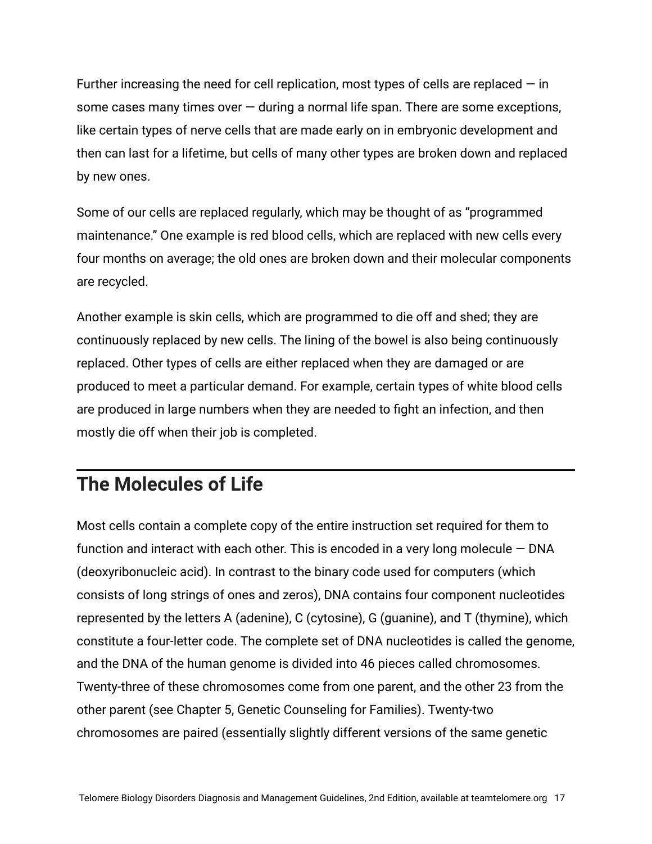Further increasing the need for cell replication, most types of cells are replaced  $-$  in some cases many times over  $-$  during a normal life span. There are some exceptions, like certain types of nerve cells that are made early on in embryonic development and then can last for a lifetime, but cells of many other types are broken down and replaced by new ones.

Some of our cells are replaced regularly, which may be thought of as "programmed maintenance." One example is red blood cells, which are replaced with new cells every four months on average; the old ones are broken down and their molecular components are recycled.

Another example is skin cells, which are programmed to die off and shed; they are continuously replaced by new cells. The lining of the bowel is also being continuously replaced. Other types of cells are either replaced when they are damaged or are produced to meet a particular demand. For example, certain types of white blood cells are produced in large numbers when they are needed to fight an infection, and then mostly die off when their job is completed.

#### **The Molecules of Life**

Most cells contain a complete copy of the entire instruction set required for them to function and interact with each other. This is encoded in a very long molecule  $-$  DNA (deoxyribonucleic acid). In contrast to the binary code used for computers (which consists of long strings of ones and zeros), DNA contains four component nucleotides represented by the letters A (adenine), C (cytosine), G (guanine), and T (thymine), which constitute a four-letter code. The complete set of DNA nucleotides is called the genome, and the DNA of the human genome is divided into 46 pieces called chromosomes. Twenty-three of these chromosomes come from one parent, and the other 23 from the other parent (see Chapter 5, Genetic Counseling for Families). Twenty-two chromosomes are paired (essentially slightly different versions of the same genetic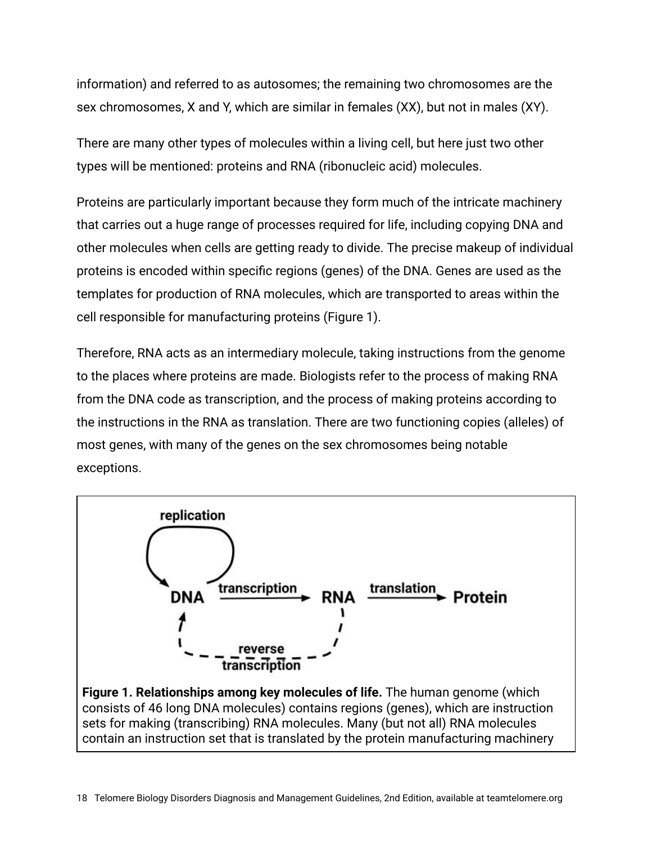information) and referred to as autosomes; the remaining two chromosomes are the sex chromosomes, X and Y, which are similar in females (XX), but not in males (XY).

There are many other types of molecules within a living cell, but here just two other types will be mentioned: proteins and RNA (ribonucleic acid) molecules.

Proteins are particularly important because they form much of the intricate machinery that carries out a huge range of processes required for life, including copying DNA and other molecules when cells are getting ready to divide. The precise makeup of individual proteins is encoded within specific regions (genes) of the DNA. Genes are used as the templates for production of RNA molecules, which are transported to areas within the cell responsible for manufacturing proteins (Figure 1).

Therefore, RNA acts as an intermediary molecule, taking instructions from the genome to the places where proteins are made. Biologists refer to the process of making RNA from the DNA code as transcription, and the process of making proteins according to the instructions in the RNA as translation. There are two functioning copies (alleles) of most genes, with many of the genes on the sex chromosomes being notable exceptions.

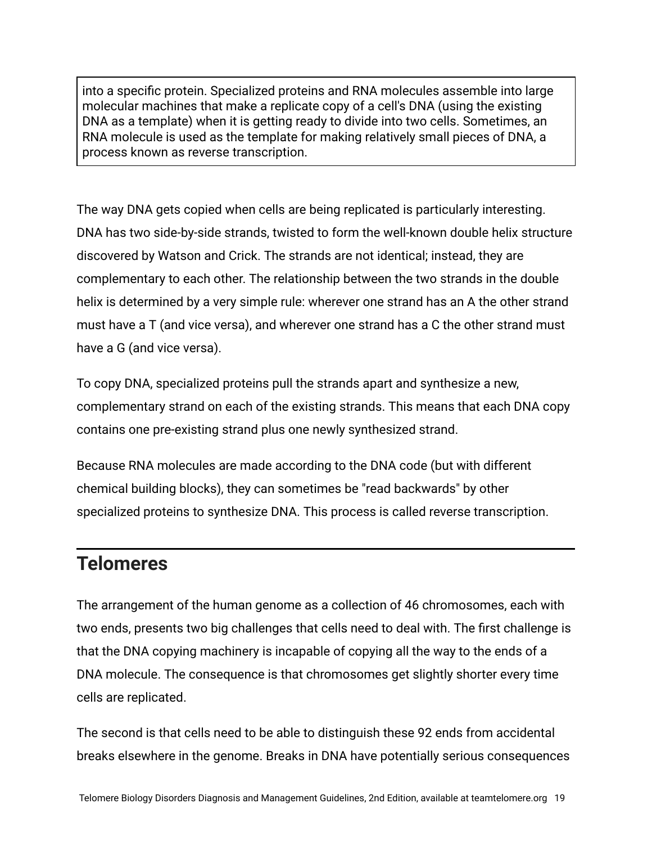into a specific protein. Specialized proteins and RNA molecules assemble into large molecular machines that make a replicate copy of a cell's DNA (using the existing DNA as a template) when it is getting ready to divide into two cells. Sometimes, an RNA molecule is used as the template for making relatively small pieces of DNA, a process known as reverse transcription.

The way DNA gets copied when cells are being replicated is particularly interesting. DNA has two side-by-side strands, twisted to form the well-known double helix structure discovered by Watson and Crick. The strands are not identical; instead, they are complementary to each other. The relationship between the two strands in the double helix is determined by a very simple rule: wherever one strand has an A the other strand must have a T (and vice versa), and wherever one strand has a C the other strand must have a G (and vice versa).

To copy DNA, specialized proteins pull the strands apart and synthesize a new, complementary strand on each of the existing strands. This means that each DNA copy contains one pre-existing strand plus one newly synthesized strand.

Because RNA molecules are made according to the DNA code (but with different chemical building blocks), they can sometimes be "read backwards" by other specialized proteins to synthesize DNA. This process is called reverse transcription.

#### **Telomeres**

The arrangement of the human genome as a collection of 46 chromosomes, each with two ends, presents two big challenges that cells need to deal with. The first challenge is that the DNA copying machinery is incapable of copying all the way to the ends of a DNA molecule. The consequence is that chromosomes get slightly shorter every time cells are replicated.

The second is that cells need to be able to distinguish these 92 ends from accidental breaks elsewhere in the genome. Breaks in DNA have potentially serious consequences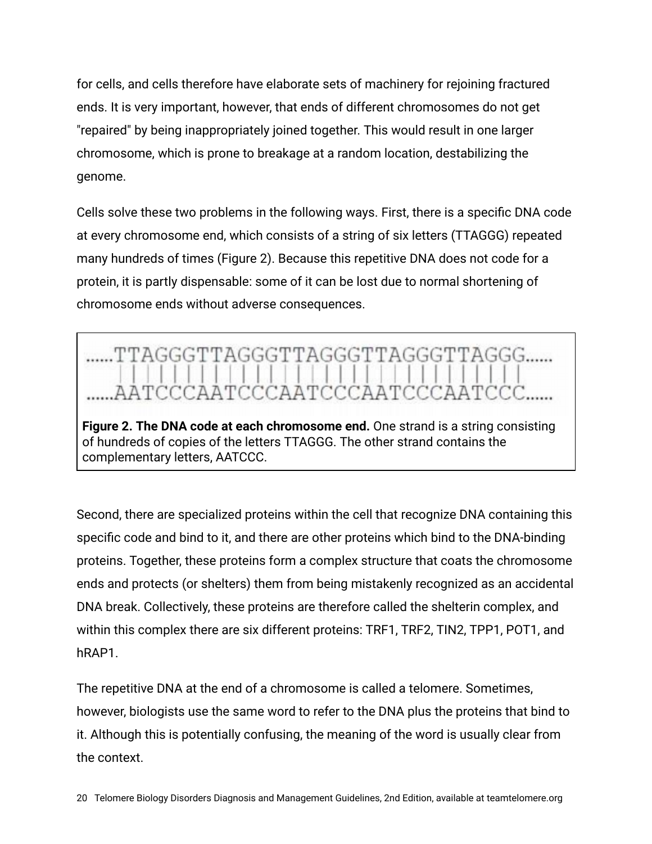for cells, and cells therefore have elaborate sets of machinery for rejoining fractured ends. It is very important, however, that ends of different chromosomes do not get "repaired" by being inappropriately joined together. This would result in one larger chromosome, which is prone to breakage at a random location, destabilizing the genome.

Cells solve these two problems in the following ways. First, there is a specific DNA code at every chromosome end, which consists of a string of six letters (TTAGGG) repeated many hundreds of times (Figure 2). Because this repetitive DNA does not code for a protein, it is partly dispensable: some of it can be lost due to normal shortening of chromosome ends without adverse consequences.



Second, there are specialized proteins within the cell that recognize DNA containing this specific code and bind to it, and there are other proteins which bind to the DNA-binding proteins. Together, these proteins form a complex structure that coats the chromosome ends and protects (or shelters) them from being mistakenly recognized as an accidental DNA break. Collectively, these proteins are therefore called the shelterin complex, and within this complex there are six different proteins: TRF1, TRF2, TIN2, TPP1, POT1, and hRAP1.

The repetitive DNA at the end of a chromosome is called a telomere. Sometimes, however, biologists use the same word to refer to the DNA plus the proteins that bind to it. Although this is potentially confusing, the meaning of the word is usually clear from the context.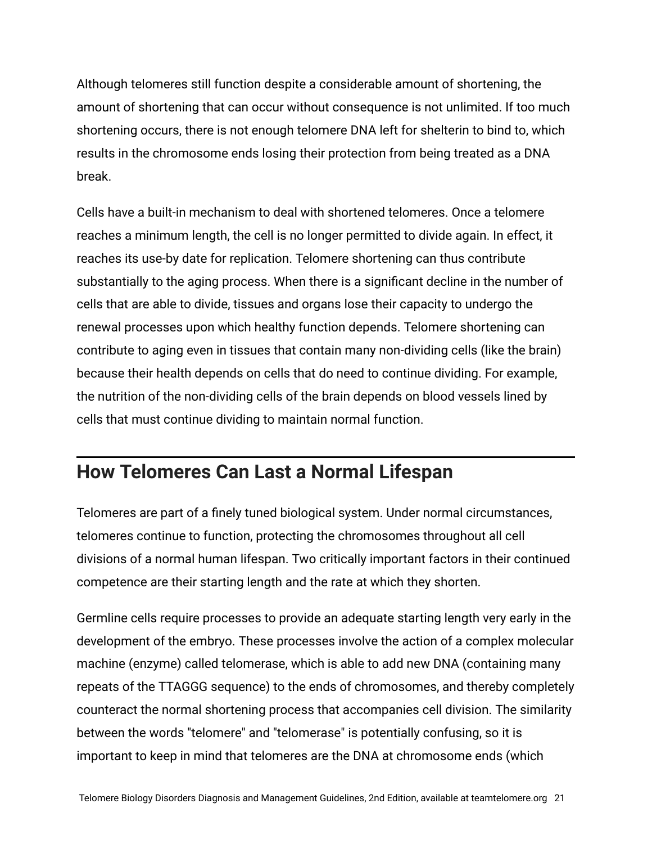Although telomeres still function despite a considerable amount of shortening, the amount of shortening that can occur without consequence is not unlimited. If too much shortening occurs, there is not enough telomere DNA left for shelterin to bind to, which results in the chromosome ends losing their protection from being treated as a DNA break.

Cells have a built-in mechanism to deal with shortened telomeres. Once a telomere reaches a minimum length, the cell is no longer permitted to divide again. In effect, it reaches its use-by date for replication. Telomere shortening can thus contribute substantially to the aging process. When there is a significant decline in the number of cells that are able to divide, tissues and organs lose their capacity to undergo the renewal processes upon which healthy function depends. Telomere shortening can contribute to aging even in tissues that contain many non-dividing cells (like the brain) because their health depends on cells that do need to continue dividing. For example, the nutrition of the non-dividing cells of the brain depends on blood vessels lined by cells that must continue dividing to maintain normal function.

#### **How Telomeres Can Last a Normal Lifespan**

Telomeres are part of a finely tuned biological system. Under normal circumstances, telomeres continue to function, protecting the chromosomes throughout all cell divisions of a normal human lifespan. Two critically important factors in their continued competence are their starting length and the rate at which they shorten.

Germline cells require processes to provide an adequate starting length very early in the development of the embryo. These processes involve the action of a complex molecular machine (enzyme) called telomerase, which is able to add new DNA (containing many repeats of the TTAGGG sequence) to the ends of chromosomes, and thereby completely counteract the normal shortening process that accompanies cell division. The similarity between the words "telomere" and "telomerase" is potentially confusing, so it is important to keep in mind that telomeres are the DNA at chromosome ends (which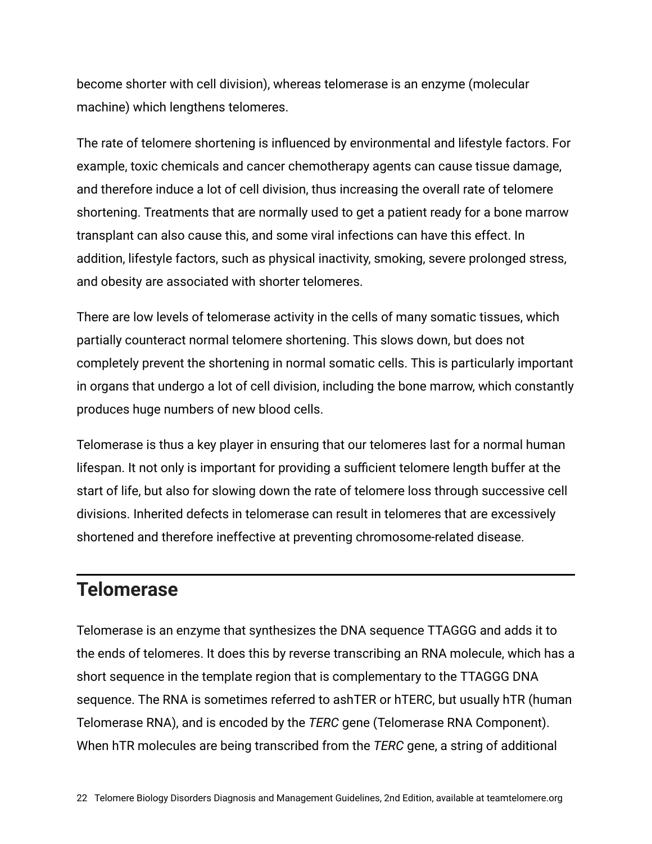become shorter with cell division), whereas telomerase is an enzyme (molecular machine) which lengthens telomeres.

The rate of telomere shortening is influenced by environmental and lifestyle factors. For example, toxic chemicals and cancer chemotherapy agents can cause tissue damage, and therefore induce a lot of cell division, thus increasing the overall rate of telomere shortening. Treatments that are normally used to get a patient ready for a bone marrow transplant can also cause this, and some viral infections can have this effect. In addition, lifestyle factors, such as physical inactivity, smoking, severe prolonged stress, and obesity are associated with shorter telomeres.

There are low levels of telomerase activity in the cells of many somatic tissues, which partially counteract normal telomere shortening. This slows down, but does not completely prevent the shortening in normal somatic cells. This is particularly important in organs that undergo a lot of cell division, including the bone marrow, which constantly produces huge numbers of new blood cells.

Telomerase is thus a key player in ensuring that our telomeres last for a normal human lifespan. It not only is important for providing a sufficient telomere length buffer at the start of life, but also for slowing down the rate of telomere loss through successive cell divisions. Inherited defects in telomerase can result in telomeres that are excessively shortened and therefore ineffective at preventing chromosome-related disease.

#### **Telomerase**

Telomerase is an enzyme that synthesizes the DNA sequence TTAGGG and adds it to the ends of telomeres. It does this by reverse transcribing an RNA molecule, which has a short sequence in the template region that is complementary to the TTAGGG DNA sequence. The RNA is sometimes referred to ashTER or hTERC, but usually hTR (human Telomerase RNA), and is encoded by the *TERC* gene (Telomerase RNA Component). When hTR molecules are being transcribed from the *TERC* gene, a string of additional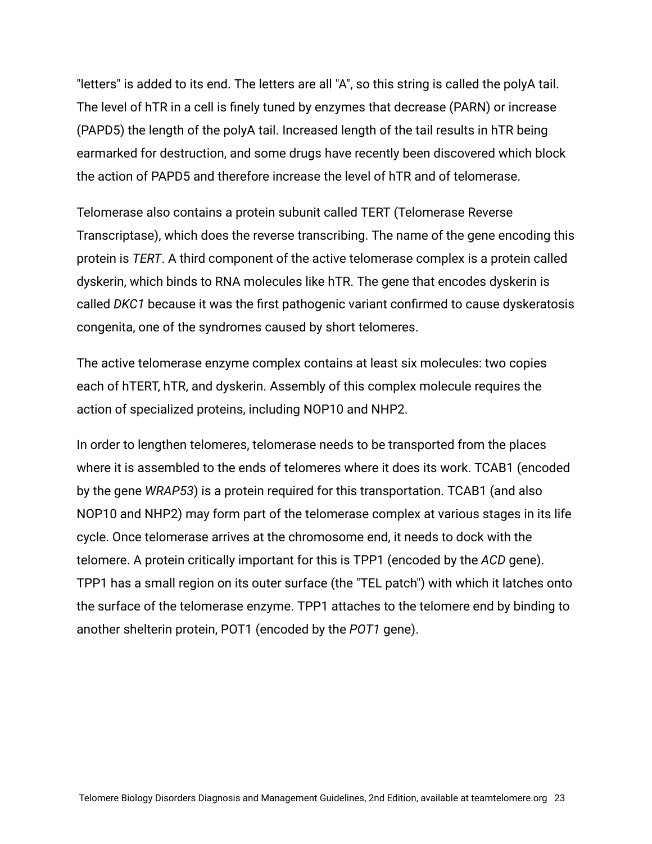"letters" is added to its end. The letters are all "A", so this string is called the polyA tail. The level of hTR in a cell is finely tuned by enzymes that decrease (PARN) or increase (PAPD5) the length of the polyA tail. Increased length of the tail results in hTR being earmarked for destruction, and some drugs have recently been discovered which block the action of PAPD5 and therefore increase the level of hTR and of telomerase.

Telomerase also contains a protein subunit called TERT (Telomerase Reverse Transcriptase), which does the reverse transcribing. The name of the gene encoding this protein is *TERT*. A third component of the active telomerase complex is a protein called dyskerin, which binds to RNA molecules like hTR. The gene that encodes dyskerin is called *DKC1* because it was the first pathogenic variant confirmed to cause dyskeratosis congenita, one of the syndromes caused by short telomeres.

The active telomerase enzyme complex contains at least six molecules: two copies each of hTERT, hTR, and dyskerin. Assembly of this complex molecule requires the action of specialized proteins, including NOP10 and NHP2.

In order to lengthen telomeres, telomerase needs to be transported from the places where it is assembled to the ends of telomeres where it does its work. TCAB1 (encoded by the gene *WRAP53*) is a protein required for this transportation. TCAB1 (and also NOP10 and NHP2) may form part of the telomerase complex at various stages in its life cycle. Once telomerase arrives at the chromosome end, it needs to dock with the telomere. A protein critically important for this is TPP1 (encoded by the *ACD* gene). TPP1 has a small region on its outer surface (the "TEL patch") with which it latches onto the surface of the telomerase enzyme. TPP1 attaches to the telomere end by binding to another shelterin protein, POT1 (encoded by the *POT1* gene).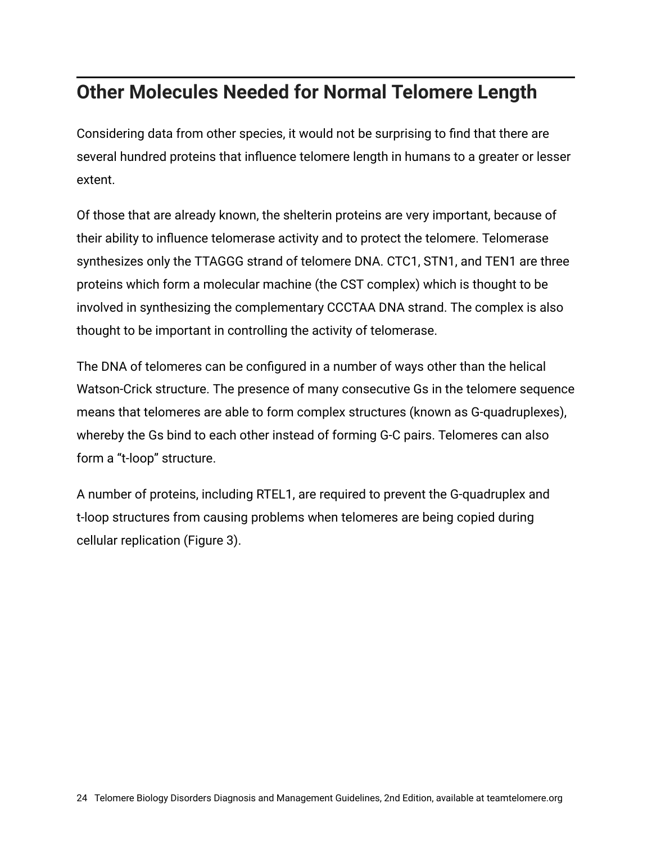### **Other Molecules Needed for Normal Telomere Length**

Considering data from other species, it would not be surprising to find that there are several hundred proteins that influence telomere length in humans to a greater or lesser extent.

Of those that are already known, the shelterin proteins are very important, because of their ability to influence telomerase activity and to protect the telomere. Telomerase synthesizes only the TTAGGG strand of telomere DNA. CTC1, STN1, and TEN1 are three proteins which form a molecular machine (the CST complex) which is thought to be involved in synthesizing the complementary CCCTAA DNA strand. The complex is also thought to be important in controlling the activity of telomerase.

The DNA of telomeres can be configured in a number of ways other than the helical Watson-Crick structure. The presence of many consecutive Gs in the telomere sequence means that telomeres are able to form complex structures (known as G-quadruplexes), whereby the Gs bind to each other instead of forming G-C pairs. Telomeres can also form a "t-loop" structure.

A number of proteins, including RTEL1, are required to prevent the G-quadruplex and t-loop structures from causing problems when telomeres are being copied during cellular replication (Figure 3).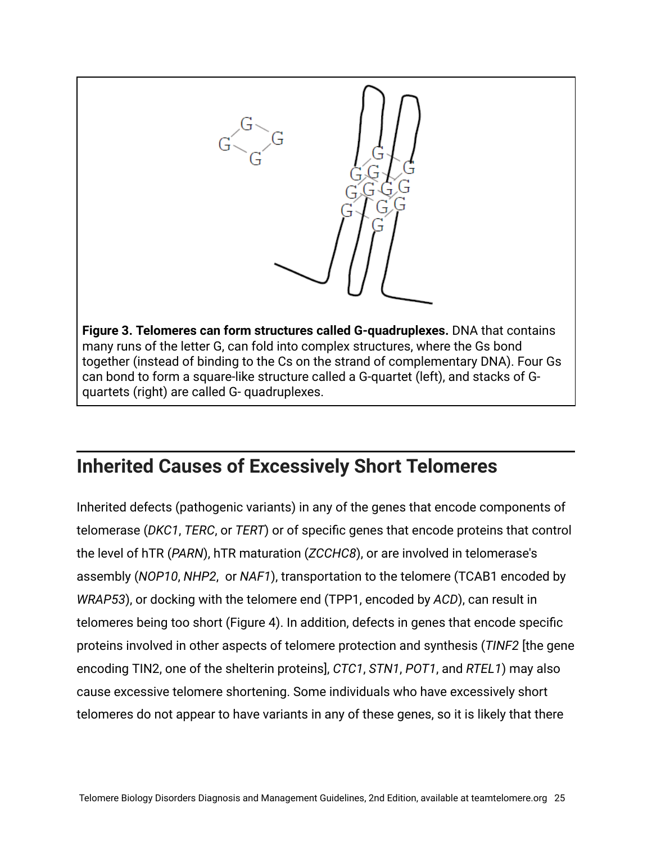

#### **Inherited Causes of Excessively Short Telomeres**

Inherited defects (pathogenic variants) in any of the genes that encode components of telomerase (*DKC1*, *TERC*, or *TERT*) or of specific genes that encode proteins that control the level of hTR (*PARN*), hTR maturation (*ZCCHC8*), or are involved in telomerase's assembly (*NOP10*, *NHP2*, or *NAF1*), transportation to the telomere (TCAB1 encoded by *WRAP53*), or docking with the telomere end (TPP1, encoded by *ACD*), can result in telomeres being too short (Figure 4). In addition, defects in genes that encode specific proteins involved in other aspects of telomere protection and synthesis (*TINF2* [the gene encoding TIN2, one of the shelterin proteins], *CTC1*, *STN1*, *POT1*, and *RTEL1*) may also cause excessive telomere shortening. Some individuals who have excessively short telomeres do not appear to have variants in any of these genes, so it is likely that there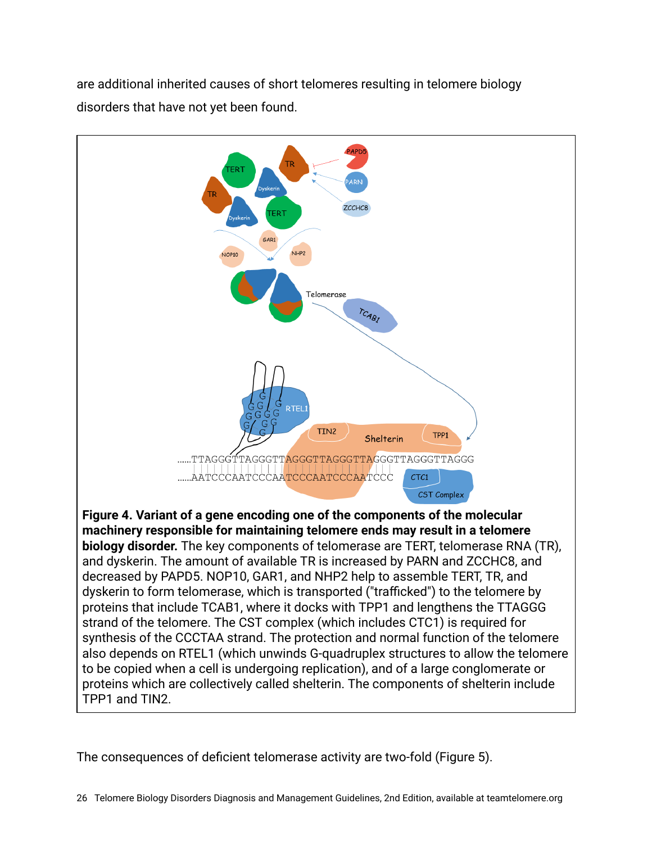are additional inherited causes of short telomeres resulting in telomere biology disorders that have not yet been found.



The consequences of deficient telomerase activity are two-fold (Figure 5).

26 Telomere Biology Disorders Diagnosis and Management Guidelines, 2nd Edition, available at teamtelomere.org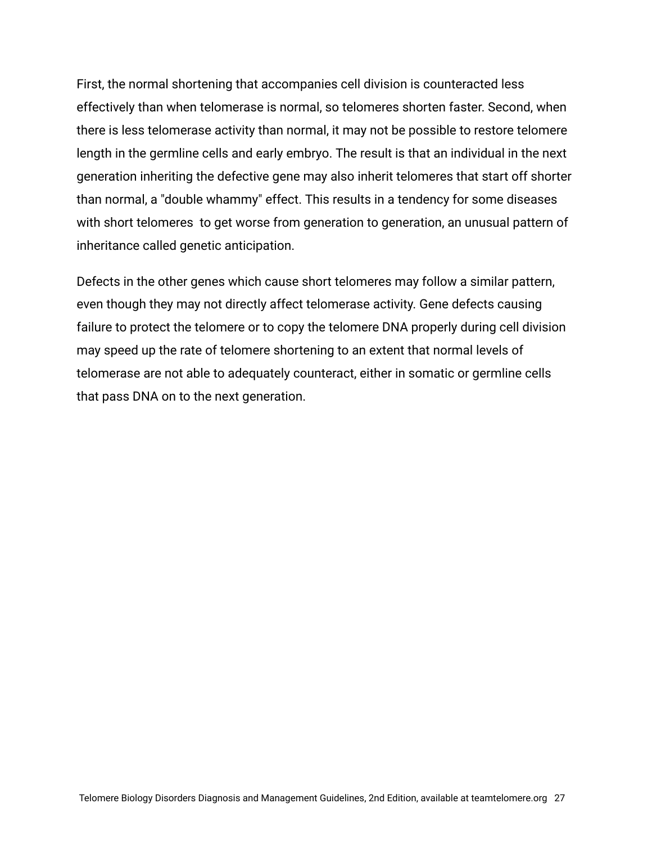First, the normal shortening that accompanies cell division is counteracted less effectively than when telomerase is normal, so telomeres shorten faster. Second, when there is less telomerase activity than normal, it may not be possible to restore telomere length in the germline cells and early embryo. The result is that an individual in the next generation inheriting the defective gene may also inherit telomeres that start off shorter than normal, a "double whammy" effect. This results in a tendency for some diseases with short telomeres to get worse from generation to generation, an unusual pattern of inheritance called genetic anticipation.

Defects in the other genes which cause short telomeres may follow a similar pattern, even though they may not directly affect telomerase activity. Gene defects causing failure to protect the telomere or to copy the telomere DNA properly during cell division may speed up the rate of telomere shortening to an extent that normal levels of telomerase are not able to adequately counteract, either in somatic or germline cells that pass DNA on to the next generation.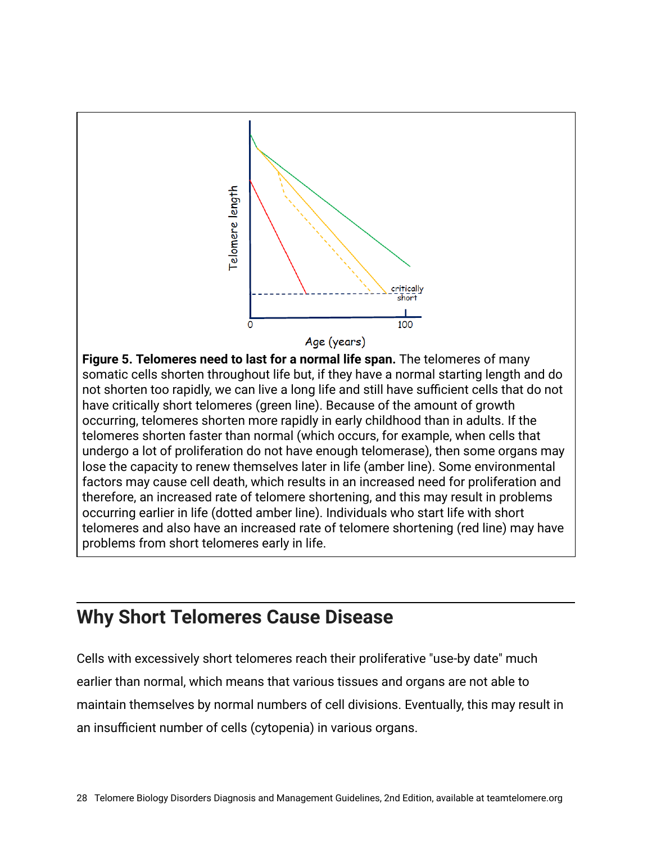

#### **Why Short Telomeres Cause Disease**

Cells with excessively short telomeres reach their proliferative "use-by date" much earlier than normal, which means that various tissues and organs are not able to maintain themselves by normal numbers of cell divisions. Eventually, this may result in an insufficient number of cells (cytopenia) in various organs.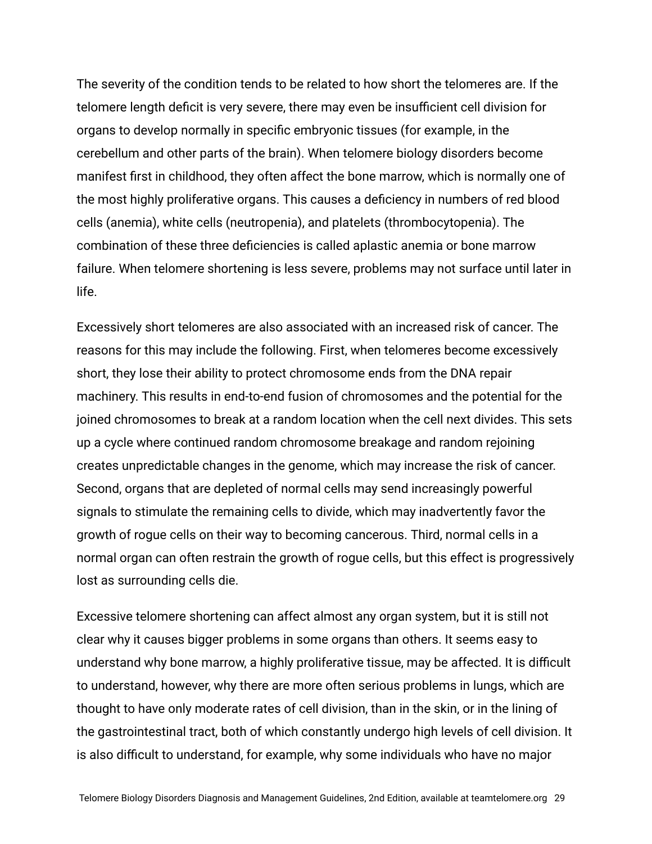The severity of the condition tends to be related to how short the telomeres are. If the telomere length deficit is very severe, there may even be insufficient cell division for organs to develop normally in specific embryonic tissues (for example, in the cerebellum and other parts of the brain). When telomere biology disorders become manifest first in childhood, they often affect the bone marrow, which is normally one of the most highly proliferative organs. This causes a deficiency in numbers of red blood cells (anemia), white cells (neutropenia), and platelets (thrombocytopenia). The combination of these three deficiencies is called aplastic anemia or bone marrow failure. When telomere shortening is less severe, problems may not surface until later in life.

Excessively short telomeres are also associated with an increased risk of cancer. The reasons for this may include the following. First, when telomeres become excessively short, they lose their ability to protect chromosome ends from the DNA repair machinery. This results in end-to-end fusion of chromosomes and the potential for the joined chromosomes to break at a random location when the cell next divides. This sets up a cycle where continued random chromosome breakage and random rejoining creates unpredictable changes in the genome, which may increase the risk of cancer. Second, organs that are depleted of normal cells may send increasingly powerful signals to stimulate the remaining cells to divide, which may inadvertently favor the growth of rogue cells on their way to becoming cancerous. Third, normal cells in a normal organ can often restrain the growth of rogue cells, but this effect is progressively lost as surrounding cells die.

Excessive telomere shortening can affect almost any organ system, but it is still not clear why it causes bigger problems in some organs than others. It seems easy to understand why bone marrow, a highly proliferative tissue, may be affected. It is difficult to understand, however, why there are more often serious problems in lungs, which are thought to have only moderate rates of cell division, than in the skin, or in the lining of the gastrointestinal tract, both of which constantly undergo high levels of cell division. It is also difficult to understand, for example, why some individuals who have no major